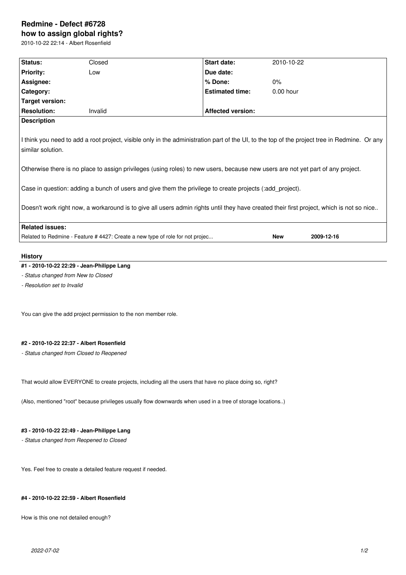# **Redmine - Defect #6728 how to assign global rights?**

2010-10-22 22:14 - Albert Rosenfield

| Status:                                                                                                                                                                                                                                                                                                                                                                                                                                                                                                                                                      | Closed                                                                       | Start date:              | 2010-10-22  |            |
|--------------------------------------------------------------------------------------------------------------------------------------------------------------------------------------------------------------------------------------------------------------------------------------------------------------------------------------------------------------------------------------------------------------------------------------------------------------------------------------------------------------------------------------------------------------|------------------------------------------------------------------------------|--------------------------|-------------|------------|
| <b>Priority:</b>                                                                                                                                                                                                                                                                                                                                                                                                                                                                                                                                             | Low                                                                          | Due date:                |             |            |
| Assignee:                                                                                                                                                                                                                                                                                                                                                                                                                                                                                                                                                    |                                                                              | % Done:                  | 0%          |            |
| Category:                                                                                                                                                                                                                                                                                                                                                                                                                                                                                                                                                    |                                                                              | <b>Estimated time:</b>   | $0.00$ hour |            |
| Target version:                                                                                                                                                                                                                                                                                                                                                                                                                                                                                                                                              |                                                                              |                          |             |            |
| <b>Resolution:</b>                                                                                                                                                                                                                                                                                                                                                                                                                                                                                                                                           | Invalid                                                                      | <b>Affected version:</b> |             |            |
| <b>Description</b>                                                                                                                                                                                                                                                                                                                                                                                                                                                                                                                                           |                                                                              |                          |             |            |
| I think you need to add a root project, visible only in the administration part of the UI, to the top of the project tree in Redmine. Or any<br>similar solution.<br>Otherwise there is no place to assign privileges (using roles) to new users, because new users are not yet part of any project.<br>Case in question: adding a bunch of users and give them the privilege to create projects (:add project).<br>Doesn't work right now, a workaround is to give all users admin rights until they have created their first project, which is not so nice |                                                                              |                          |             |            |
| <b>Related issues:</b>                                                                                                                                                                                                                                                                                                                                                                                                                                                                                                                                       |                                                                              |                          |             |            |
|                                                                                                                                                                                                                                                                                                                                                                                                                                                                                                                                                              | Related to Redmine - Feature #4427: Create a new type of role for not projec |                          | <b>New</b>  | 2009-12-16 |

#### **History**

# **#1 - 2010-10-22 22:29 - Jean-Philippe Lang**

*- Status changed from New to Closed*

*- Resolution set to Invalid*

You can give the add project permission to the non member role.

### **#2 - 2010-10-22 22:37 - Albert Rosenfield**

*- Status changed from Closed to Reopened*

That would allow EVERYONE to create projects, including all the users that have no place doing so, right?

(Also, mentioned "root" because privileges usually flow downwards when used in a tree of storage locations..)

# **#3 - 2010-10-22 22:49 - Jean-Philippe Lang**

*- Status changed from Reopened to Closed*

Yes. Feel free to create a detailed feature request if needed.

### **#4 - 2010-10-22 22:59 - Albert Rosenfield**

How is this one not detailed enough?